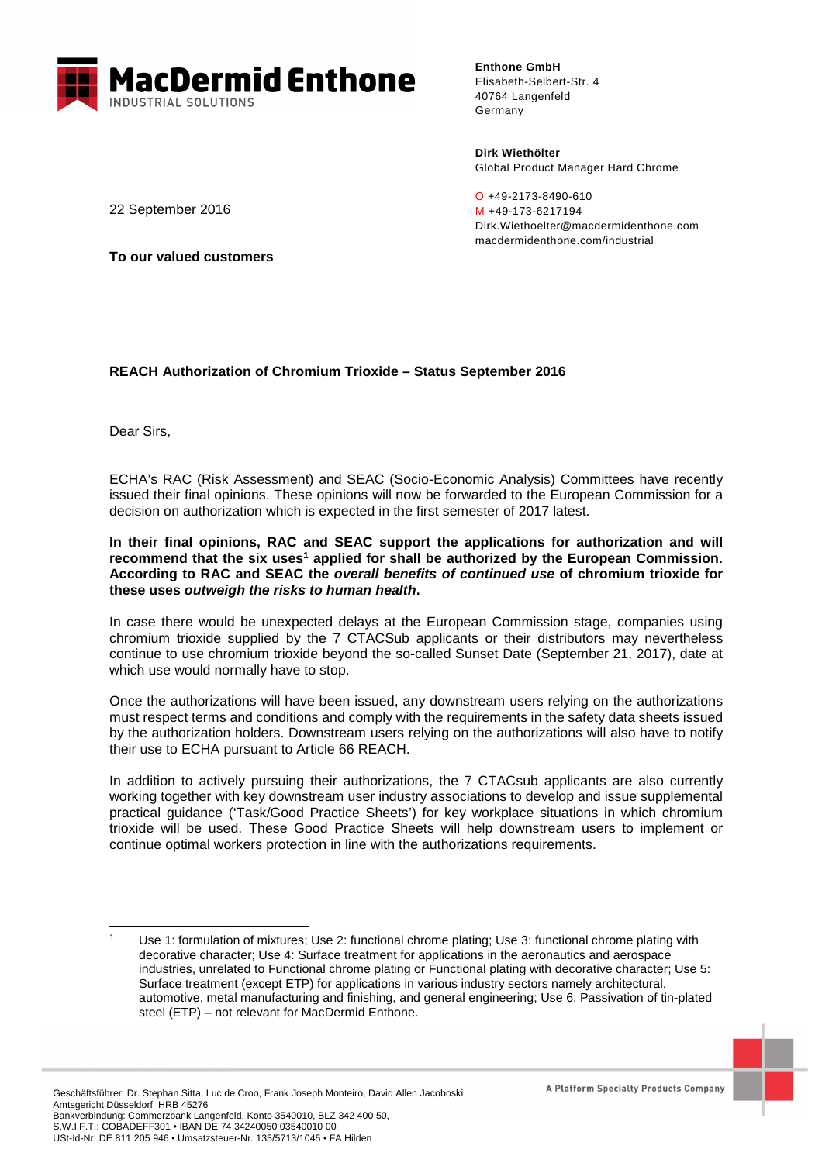

**Enthone GmbH** Elisabeth-Selbert-Str. 4 40764 Langenfeld Germany

**Dirk Wiethölter**  Global Product Manager Hard Chrome

O +49-2173-8490-610 M +49-173-6217194 Dirk.Wiethoelter@macdermidenthone.com macdermidenthone.com/industrial

22 September 2016

**To our valued customers**

## **REACH Authorization of Chromium Trioxide – Status September 2016**

Dear Sirs,

l

ECHA's RAC (Risk Assessment) and SEAC (Socio-Economic Analysis) Committees have recently issued their final opinions. These opinions will now be forwarded to the European Commission for a decision on authorization which is expected in the first semester of 2017 latest.

**In their final opinions, RAC and SEAC support the applications for authorization and will**  recommend that the six uses<sup>1</sup> applied for shall be authorized by the European Commission. **According to RAC and SEAC the overall benefits of continued use of chromium trioxide for these uses outweigh the risks to human health.** 

In case there would be unexpected delays at the European Commission stage, companies using chromium trioxide supplied by the 7 CTACSub applicants or their distributors may nevertheless continue to use chromium trioxide beyond the so-called Sunset Date (September 21, 2017), date at which use would normally have to stop.

Once the authorizations will have been issued, any downstream users relying on the authorizations must respect terms and conditions and comply with the requirements in the safety data sheets issued by the authorization holders. Downstream users relying on the authorizations will also have to notify their use to ECHA pursuant to Article 66 REACH.

In addition to actively pursuing their authorizations, the 7 CTACsub applicants are also currently working together with key downstream user industry associations to develop and issue supplemental practical guidance ('Task/Good Practice Sheets') for key workplace situations in which chromium trioxide will be used. These Good Practice Sheets will help downstream users to implement or continue optimal workers protection in line with the authorizations requirements.

<sup>1</sup> Use 1: formulation of mixtures; Use 2: functional chrome plating; Use 3: functional chrome plating with decorative character; Use 4: Surface treatment for applications in the aeronautics and aerospace industries, unrelated to Functional chrome plating or Functional plating with decorative character; Use 5: Surface treatment (except ETP) for applications in various industry sectors namely architectural, automotive, metal manufacturing and finishing, and general engineering; Use 6: Passivation of tin-plated steel (ETP) – not relevant for MacDermid Enthone.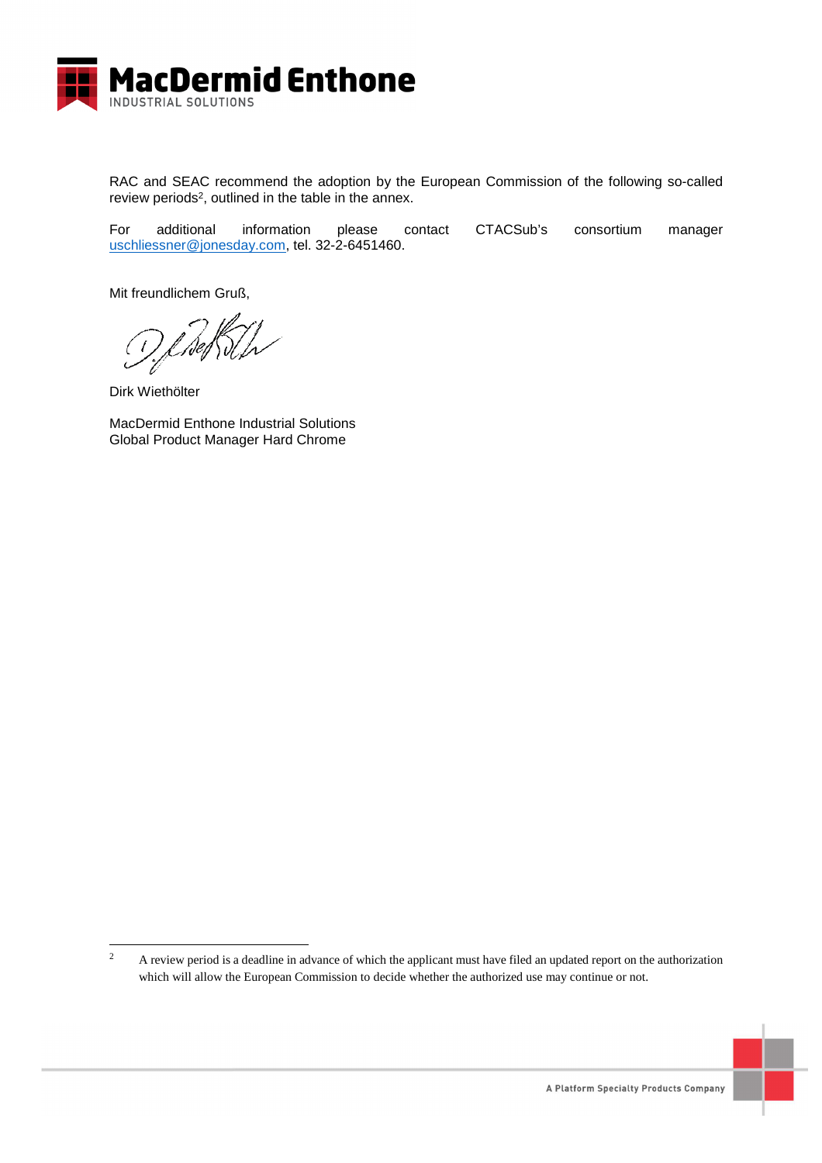

RAC and SEAC recommend the adoption by the European Commission of the following so-called review periods<sup>2</sup>, outlined in the table in the annex.

For additional information please contact CTACSub's consortium manager uschliessner@jonesday.com, tel. 32-2-6451460.

Mit freundlichem Gruß,

Dirk Wiethölter

l

MacDermid Enthone Industrial Solutions Global Product Manager Hard Chrome



<sup>2</sup> A review period is a deadline in advance of which the applicant must have filed an updated report on the authorization which will allow the European Commission to decide whether the authorized use may continue or not.